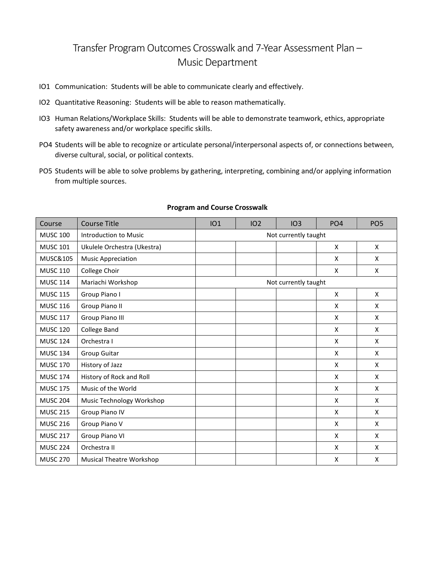## Transfer Program Outcomes Crosswalk and 7-Year Assessment Plan – Music Department

- IO1 Communication: Students will be able to communicate clearly and effectively.
- IO2 Quantitative Reasoning: Students will be able to reason mathematically.
- IO3 Human Relations/Workplace Skills: Students will be able to demonstrate teamwork, ethics, appropriate safety awareness and/or workplace specific skills.
- PO4 Students will be able to recognize or articulate personal/interpersonal aspects of, or connections between, diverse cultural, social, or political contexts.
- PO5 Students will be able to solve problems by gathering, interpreting, combining and/or applying information from multiple sources.

| Course              | <b>Course Title</b>             | IO1                  | IO <sub>2</sub> | IO3 | PO <sub>4</sub> | PO <sub>5</sub> |  |  |  |
|---------------------|---------------------------------|----------------------|-----------------|-----|-----------------|-----------------|--|--|--|
| <b>MUSC 100</b>     | Introduction to Music           | Not currently taught |                 |     |                 |                 |  |  |  |
| <b>MUSC 101</b>     | Ukulele Orchestra (Ukestra)     |                      |                 |     | X               | $\mathsf{x}$    |  |  |  |
| <b>MUSC&amp;105</b> | <b>Music Appreciation</b>       |                      |                 |     | X               | X               |  |  |  |
| <b>MUSC 110</b>     | College Choir                   |                      |                 |     | X               | X               |  |  |  |
| <b>MUSC 114</b>     | Mariachi Workshop               | Not currently taught |                 |     |                 |                 |  |  |  |
| <b>MUSC 115</b>     | Group Piano I                   |                      |                 |     | X               | X               |  |  |  |
| <b>MUSC 116</b>     | Group Piano II                  |                      |                 |     | X               | $\mathsf{x}$    |  |  |  |
| <b>MUSC 117</b>     | Group Piano III                 |                      |                 |     | X               | X               |  |  |  |
| <b>MUSC 120</b>     | College Band                    |                      |                 |     | X               | X               |  |  |  |
| <b>MUSC 124</b>     | Orchestra I                     |                      |                 |     | X               | X               |  |  |  |
| <b>MUSC 134</b>     | <b>Group Guitar</b>             |                      |                 |     | X               | X               |  |  |  |
| <b>MUSC 170</b>     | History of Jazz                 |                      |                 |     | X               | X               |  |  |  |
| <b>MUSC 174</b>     | History of Rock and Roll        |                      |                 |     | X               | X               |  |  |  |
| <b>MUSC 175</b>     | Music of the World              |                      |                 |     | X               | X               |  |  |  |
| <b>MUSC 204</b>     | Music Technology Workshop       |                      |                 |     | X               | X               |  |  |  |
| <b>MUSC 215</b>     | Group Piano IV                  |                      |                 |     | X               | $\mathsf{x}$    |  |  |  |
| <b>MUSC 216</b>     | Group Piano V                   |                      |                 |     | X               | X               |  |  |  |
| <b>MUSC 217</b>     | Group Piano VI                  |                      |                 |     | X               | X               |  |  |  |
| <b>MUSC 224</b>     | Orchestra II                    |                      |                 |     | X               | X               |  |  |  |
| <b>MUSC 270</b>     | <b>Musical Theatre Workshop</b> |                      |                 |     | X               | X               |  |  |  |

## **Program and Course Crosswalk**